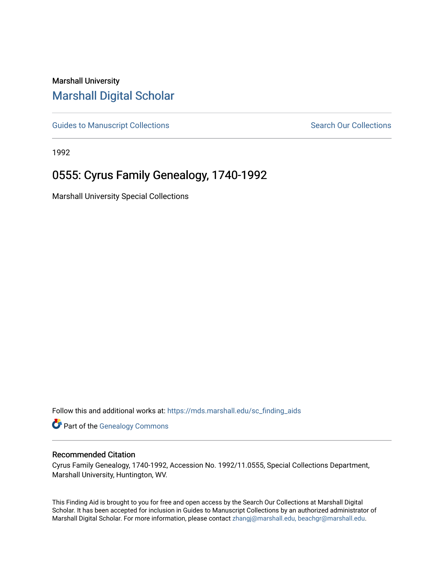## Marshall University [Marshall Digital Scholar](https://mds.marshall.edu/)

[Guides to Manuscript Collections](https://mds.marshall.edu/sc_finding_aids) **Search Our Collections** Search Our Collections

1992

## 0555: Cyrus Family Genealogy, 1740-1992

Marshall University Special Collections

Follow this and additional works at: [https://mds.marshall.edu/sc\\_finding\\_aids](https://mds.marshall.edu/sc_finding_aids?utm_source=mds.marshall.edu%2Fsc_finding_aids%2F303&utm_medium=PDF&utm_campaign=PDFCoverPages) 

**Part of the Genealogy Commons** 

## Recommended Citation

Cyrus Family Genealogy, 1740-1992, Accession No. 1992/11.0555, Special Collections Department, Marshall University, Huntington, WV.

This Finding Aid is brought to you for free and open access by the Search Our Collections at Marshall Digital Scholar. It has been accepted for inclusion in Guides to Manuscript Collections by an authorized administrator of Marshall Digital Scholar. For more information, please contact [zhangj@marshall.edu, beachgr@marshall.edu](mailto:zhangj@marshall.edu,%20beachgr@marshall.edu).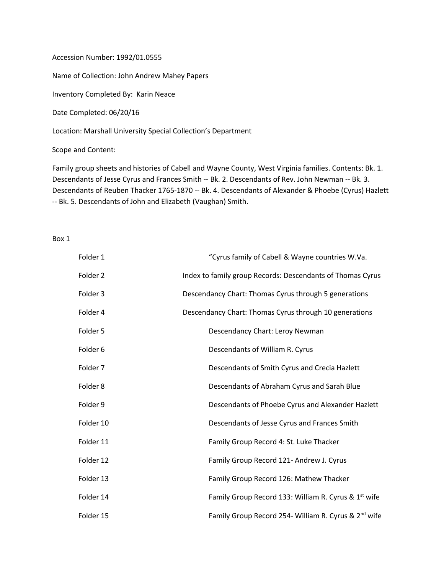Accession Number: 1992/01.0555

Name of Collection: John Andrew Mahey Papers

Inventory Completed By: Karin Neace

Date Completed: 06/20/16

Location: Marshall University Special Collection's Department

Scope and Content:

Family group sheets and histories of Cabell and Wayne County, West Virginia families. Contents: Bk. 1. Descendants of Jesse Cyrus and Frances Smith -- Bk. 2. Descendants of Rev. John Newman -- Bk. 3. Descendants of Reuben Thacker 1765-1870 -- Bk. 4. Descendants of Alexander & Phoebe (Cyrus) Hazlett -- Bk. 5. Descendants of John and Elizabeth (Vaughan) Smith.

Box 1

| Folder 1  | "Cyrus family of Cabell & Wayne countries W.Va.                  |
|-----------|------------------------------------------------------------------|
| Folder 2  | Index to family group Records: Descendants of Thomas Cyrus       |
| Folder 3  | Descendancy Chart: Thomas Cyrus through 5 generations            |
| Folder 4  | Descendancy Chart: Thomas Cyrus through 10 generations           |
| Folder 5  | Descendancy Chart: Leroy Newman                                  |
| Folder 6  | Descendants of William R. Cyrus                                  |
| Folder 7  | Descendants of Smith Cyrus and Crecia Hazlett                    |
| Folder 8  | Descendants of Abraham Cyrus and Sarah Blue                      |
| Folder 9  | Descendants of Phoebe Cyrus and Alexander Hazlett                |
| Folder 10 | Descendants of Jesse Cyrus and Frances Smith                     |
| Folder 11 | Family Group Record 4: St. Luke Thacker                          |
| Folder 12 | Family Group Record 121- Andrew J. Cyrus                         |
| Folder 13 | Family Group Record 126: Mathew Thacker                          |
| Folder 14 | Family Group Record 133: William R. Cyrus & 1 <sup>st</sup> wife |
| Folder 15 | Family Group Record 254- William R. Cyrus & 2 <sup>nd</sup> wife |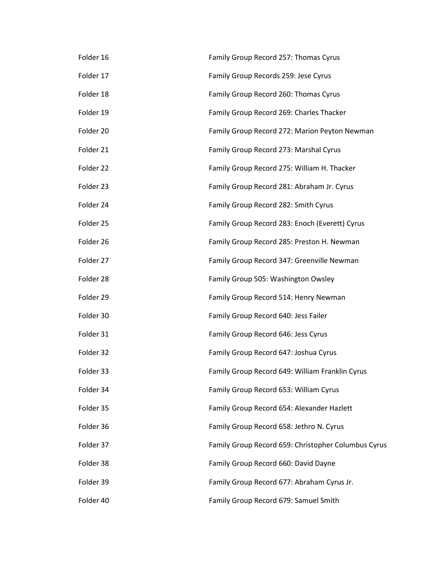| Folder 16 | Family Group Record 257: Thomas Cyrus               |
|-----------|-----------------------------------------------------|
| Folder 17 | Family Group Records 259: Jese Cyrus                |
| Folder 18 | Family Group Record 260: Thomas Cyrus               |
| Folder 19 | Family Group Record 269: Charles Thacker            |
| Folder 20 | Family Group Record 272: Marion Peyton Newman       |
| Folder 21 | Family Group Record 273: Marshal Cyrus              |
| Folder 22 | Family Group Record 275: William H. Thacker         |
| Folder 23 | Family Group Record 281: Abraham Jr. Cyrus          |
| Folder 24 | Family Group Record 282: Smith Cyrus                |
| Folder 25 | Family Group Record 283: Enoch (Everett) Cyrus      |
| Folder 26 | Family Group Record 285: Preston H. Newman          |
| Folder 27 | Family Group Record 347: Greenville Newman          |
| Folder 28 | Family Group 505: Washington Owsley                 |
| Folder 29 | Family Group Record 514: Henry Newman               |
| Folder 30 | Family Group Record 640: Jess Failer                |
| Folder 31 | Family Group Record 646: Jess Cyrus                 |
| Folder 32 | Family Group Record 647: Joshua Cyrus               |
| Folder 33 | Family Group Record 649: William Franklin Cyrus     |
| Folder 34 | Family Group Record 653: William Cyrus              |
| Folder 35 | Family Group Record 654: Alexander Hazlett          |
| Folder 36 | Family Group Record 658: Jethro N. Cyrus            |
| Folder 37 | Family Group Record 659: Christopher Columbus Cyrus |
| Folder 38 | Family Group Record 660: David Dayne                |
| Folder 39 | Family Group Record 677: Abraham Cyrus Jr.          |
| Folder 40 | Family Group Record 679: Samuel Smith               |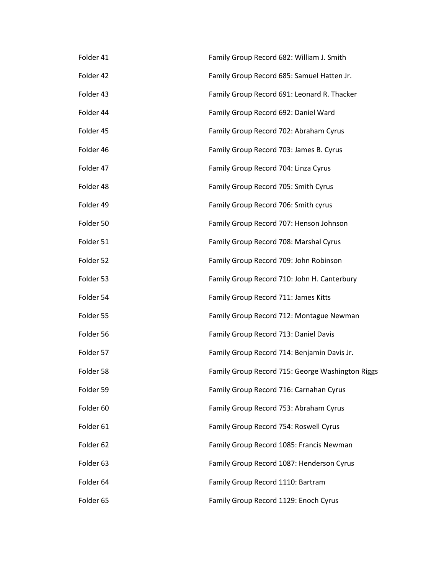| Folder 41 | Family Group Record 682: William J. Smith        |
|-----------|--------------------------------------------------|
| Folder 42 | Family Group Record 685: Samuel Hatten Jr.       |
| Folder 43 | Family Group Record 691: Leonard R. Thacker      |
| Folder 44 | Family Group Record 692: Daniel Ward             |
| Folder 45 | Family Group Record 702: Abraham Cyrus           |
| Folder 46 | Family Group Record 703: James B. Cyrus          |
| Folder 47 | Family Group Record 704: Linza Cyrus             |
| Folder 48 | Family Group Record 705: Smith Cyrus             |
| Folder 49 | Family Group Record 706: Smith cyrus             |
| Folder 50 | Family Group Record 707: Henson Johnson          |
| Folder 51 | Family Group Record 708: Marshal Cyrus           |
| Folder 52 | Family Group Record 709: John Robinson           |
| Folder 53 | Family Group Record 710: John H. Canterbury      |
| Folder 54 | Family Group Record 711: James Kitts             |
| Folder 55 | Family Group Record 712: Montague Newman         |
| Folder 56 | Family Group Record 713: Daniel Davis            |
| Folder 57 | Family Group Record 714: Benjamin Davis Jr.      |
| Folder 58 | Family Group Record 715: George Washington Riggs |
| Folder 59 | Family Group Record 716: Carnahan Cyrus          |
| Folder 60 | Family Group Record 753: Abraham Cyrus           |
| Folder 61 | Family Group Record 754: Roswell Cyrus           |
| Folder 62 | Family Group Record 1085: Francis Newman         |
| Folder 63 | Family Group Record 1087: Henderson Cyrus        |
| Folder 64 | Family Group Record 1110: Bartram                |
| Folder 65 | Family Group Record 1129: Enoch Cyrus            |